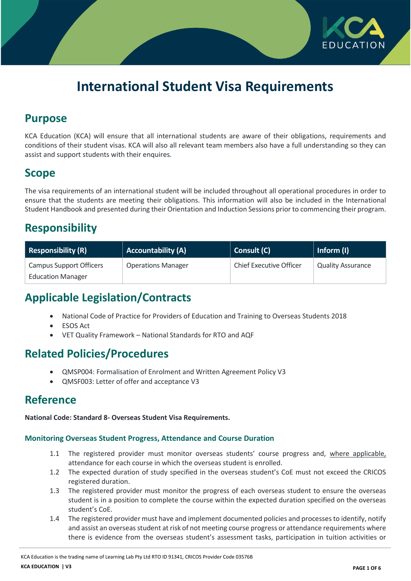

# **International Student Visa Requirements**

## **Purpose**

KCA Education (KCA) will ensure that all international students are aware of their obligations, requirements and conditions of their student visas. KCA will also all relevant team members also have a full understanding so they can assist and support students with their enquires.

# **Scope**

The visa requirements of an international student will be included throughout all operational procedures in order to ensure that the students are meeting their obligations. This information will also be included in the International Student Handbook and presented during their Orientation and Induction Sessions prior to commencing their program.

# **Responsibility**

| Responsibility (R)       | <b>Accountability (A)</b> | Consult (C)                    | Inform $(I)$             |
|--------------------------|---------------------------|--------------------------------|--------------------------|
| Campus Support Officers  | <b>Operations Manager</b> | <b>Chief Executive Officer</b> | <b>Quality Assurance</b> |
| <b>Education Manager</b> |                           |                                |                          |

# **Applicable Legislation/Contracts**

- National Code of Practice for Providers of Education and Training to Overseas Students 2018
- ESOS Act
- VET Quality Framework National Standards for RTO and AQF

# **Related Policies/Procedures**

- QMSP004: Formalisation of Enrolment and Written Agreement Policy V3
- QMSF003: Letter of offer and acceptance V3

### **Reference**

**National Code: Standard 8- Overseas Student Visa Requirements.**

### **Monitoring Overseas Student Progress, Attendance and Course Duration**

- 1.1 The registered provider must monitor overseas students' course progress and, where applicable, attendance for each course in which the overseas student is enrolled.
- 1.2 The expected duration of study specified in the overseas student's CoE must not exceed the CRICOS registered duration.
- 1.3 The registered provider must monitor the progress of each overseas student to ensure the overseas student is in a position to complete the course within the expected duration specified on the overseas student's CoE.
- 1.4 The registered provider must have and implement documented policies and processes to identify, notify and assist an overseas student at risk of not meeting course progress or attendance requirements where there is evidence from the overseas student's assessment tasks, participation in tuition activities or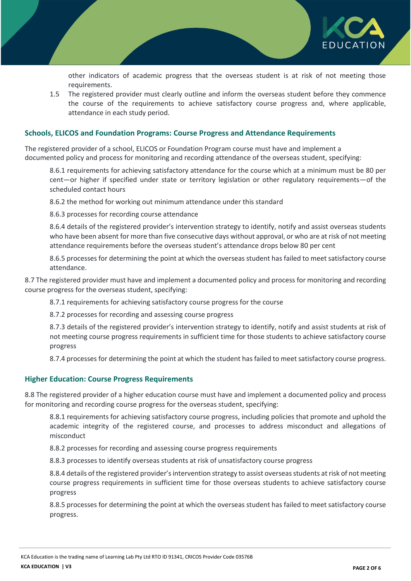

other indicators of academic progress that the overseas student is at risk of not meeting those requirements.

1.5 The registered provider must clearly outline and inform the overseas student before they commence the course of the requirements to achieve satisfactory course progress and, where applicable, attendance in each study period.

#### **Schools, ELICOS and Foundation Programs: Course Progress and Attendance Requirements**

The registered provider of a school, ELICOS or Foundation Program course must have and implement a documented policy and process for monitoring and recording attendance of the overseas student, specifying:

8.6.1 requirements for achieving satisfactory attendance for the course which at a minimum must be 80 per cent—or higher if specified under state or territory legislation or other regulatory requirements—of the scheduled contact hours

8.6.2 the method for working out minimum attendance under this standard

8.6.3 processes for recording course attendance

8.6.4 details of the registered provider's intervention strategy to identify, notify and assist overseas students who have been absent for more than five consecutive days without approval, or who are at risk of not meeting attendance requirements before the overseas student's attendance drops below 80 per cent

8.6.5 processes for determining the point at which the overseas student has failed to meet satisfactory course attendance.

8.7 The registered provider must have and implement a documented policy and process for monitoring and recording course progress for the overseas student, specifying:

8.7.1 requirements for achieving satisfactory course progress for the course

8.7.2 processes for recording and assessing course progress

8.7.3 details of the registered provider's intervention strategy to identify, notify and assist students at risk of not meeting course progress requirements in sufficient time for those students to achieve satisfactory course progress

8.7.4 processes for determining the point at which the student has failed to meet satisfactory course progress.

#### **Higher Education: Course Progress Requirements**

8.8 The registered provider of a higher education course must have and implement a documented policy and process for monitoring and recording course progress for the overseas student, specifying:

8.8.1 requirements for achieving satisfactory course progress, including policies that promote and uphold the academic integrity of the registered course, and processes to address misconduct and allegations of misconduct

8.8.2 processes for recording and assessing course progress requirements

8.8.3 processes to identify overseas students at risk of unsatisfactory course progress

8.8.4 details of the registered provider's intervention strategy to assist overseas students at risk of not meeting course progress requirements in sufficient time for those overseas students to achieve satisfactory course progress

8.8.5 processes for determining the point at which the overseas student has failed to meet satisfactory course progress.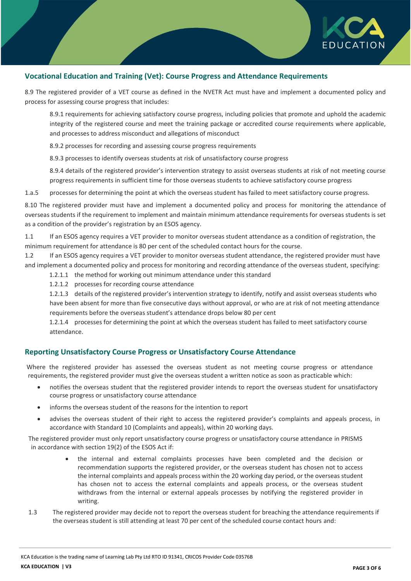

### **Vocational Education and Training (Vet): Course Progress and Attendance Requirements**

8.9 The registered provider of a VET course as defined in the NVETR Act must have and implement a documented policy and process for assessing course progress that includes:

8.9.1 requirements for achieving satisfactory course progress, including policies that promote and uphold the academic integrity of the registered course and meet the training package or accredited course requirements where applicable, and processes to address misconduct and allegations of misconduct

8.9.2 processes for recording and assessing course progress requirements

8.9.3 processes to identify overseas students at risk of unsatisfactory course progress

8.9.4 details of the registered provider's intervention strategy to assist overseas students at risk of not meeting course progress requirements in sufficient time for those overseas students to achieve satisfactory course progress

1.a.5 processes for determining the point at which the overseas student has failed to meet satisfactory course progress.

8.10 The registered provider must have and implement a documented policy and process for monitoring the attendance of overseas students if the requirement to implement and maintain minimum attendance requirements for overseas students is set as a condition of the provider's registration by an ESOS agency.

1.1 If an ESOS agency requires a VET provider to monitor overseas student attendance as a condition of registration, the minimum requirement for attendance is 80 per cent of the scheduled contact hours for the course.

1.2 If an ESOS agency requires a VET provider to monitor overseas student attendance, the registered provider must have and implement a documented policy and process for monitoring and recording attendance of the overseas student, specifying:

- 1.2.1.1 the method for working out minimum attendance under this standard
- 1.2.1.2 processes for recording course attendance

1.2.1.3 details of the registered provider's intervention strategy to identify, notify and assist overseas students who have been absent for more than five consecutive days without approval, or who are at risk of not meeting attendance requirements before the overseas student's attendance drops below 80 per cent

1.2.1.4 processes for determining the point at which the overseas student has failed to meet satisfactory course attendance.

### **Reporting Unsatisfactory Course Progress or Unsatisfactory Course Attendance**

Where the registered provider has assessed the overseas student as not meeting course progress or attendance requirements, the registered provider must give the overseas student a written notice as soon as practicable which:

- notifies the overseas student that the registered provider intends to report the overseas student for unsatisfactory course progress or unsatisfactory course attendance
- informs the overseas student of the reasons for the intention to report
- advises the overseas student of their right to access the registered provider's complaints and appeals process, in accordance with Standard 10 (Complaints and appeals), within 20 working days.

The registered provider must only report unsatisfactory course progress or unsatisfactory course attendance in PRISMS in accordance with section 19(2) of the ESOS Act if:

- the internal and external complaints processes have been completed and the decision or recommendation supports the registered provider, or the overseas student has chosen not to access the internal complaints and appeals process within the 20 working day period, or the overseas student has chosen not to access the external complaints and appeals process, or the overseas student withdraws from the internal or external appeals processes by notifying the registered provider in writing.
- 1.3 The registered provider may decide not to report the overseas student for breaching the attendance requirements if the overseas student is still attending at least 70 per cent of the scheduled course contact hours and: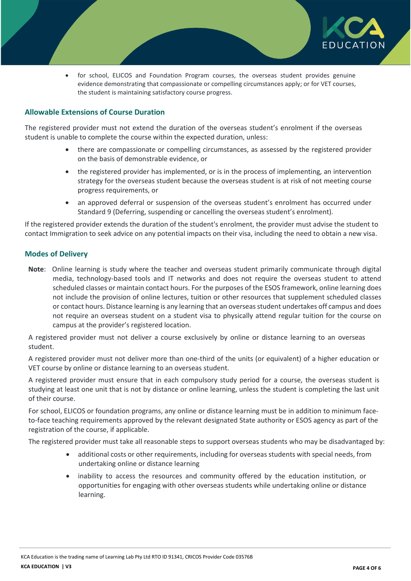

 for school, ELICOS and Foundation Program courses, the overseas student provides genuine evidence demonstrating that compassionate or compelling circumstances apply; or for VET courses, the student is maintaining satisfactory course progress.

### **Allowable Extensions of Course Duration**

The registered provider must not extend the duration of the overseas student's enrolment if the overseas student is unable to complete the course within the expected duration, unless:

- there are compassionate or compelling circumstances, as assessed by the registered provider on the basis of demonstrable evidence, or
- the registered provider has implemented, or is in the process of implementing, an intervention strategy for the overseas student because the overseas student is at risk of not meeting course progress requirements, or
- an approved deferral or suspension of the overseas student's enrolment has occurred under Standard 9 (Deferring, suspending or cancelling the overseas student's enrolment).

If the registered provider extends the duration of the student's enrolment, the provider must advise the student to contact Immigration to seek advice on any potential impacts on their visa, including the need to obtain a new visa.

### **Modes of Delivery**

**Note**: Online learning is study where the teacher and overseas student primarily communicate through digital media, technology-based tools and IT networks and does not require the overseas student to attend scheduled classes or maintain contact hours. For the purposes of the ESOS framework, online learning does not include the provision of online lectures, tuition or other resources that supplement scheduled classes or contact hours. Distance learning is any learning that an overseas student undertakes off campus and does not require an overseas student on a student visa to physically attend regular tuition for the course on campus at the provider's registered location.

A registered provider must not deliver a course exclusively by online or distance learning to an overseas student.

A registered provider must not deliver more than one-third of the units (or equivalent) of a higher education or VET course by online or distance learning to an overseas student.

A registered provider must ensure that in each compulsory study period for a course, the overseas student is studying at least one unit that is not by distance or online learning, unless the student is completing the last unit of their course.

For school, ELICOS or foundation programs, any online or distance learning must be in addition to minimum faceto-face teaching requirements approved by the relevant designated State authority or ESOS agency as part of the registration of the course, if applicable.

The registered provider must take all reasonable steps to support overseas students who may be disadvantaged by:

- additional costs or other requirements, including for overseas students with special needs, from undertaking online or distance learning
- inability to access the resources and community offered by the education institution, or opportunities for engaging with other overseas students while undertaking online or distance learning.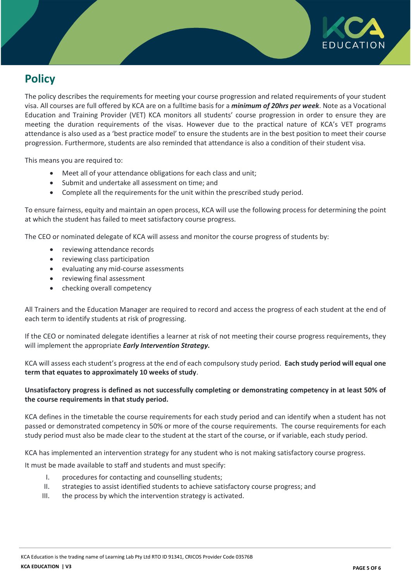

# **Policy**

The policy describes the requirements for meeting your course progression and related requirements of your student visa. All courses are full offered by KCA are on a fulltime basis for a *minimum of 20hrs per week*. Note as a Vocational Education and Training Provider (VET) KCA monitors all students' course progression in order to ensure they are meeting the duration requirements of the visas. However due to the practical nature of KCA's VET programs attendance is also used as a 'best practice model' to ensure the students are in the best position to meet their course progression. Furthermore, students are also reminded that attendance is also a condition of their student visa.

This means you are required to:

- Meet all of your attendance obligations for each class and unit;
- Submit and undertake all assessment on time; and
- Complete all the requirements for the unit within the prescribed study period.

To ensure fairness, equity and maintain an open process, KCA will use the following process for determining the point at which the student has failed to meet satisfactory course progress.

The CEO or nominated delegate of KCA will assess and monitor the course progress of students by:

- reviewing attendance records
- reviewing class participation
- evaluating any mid-course assessments
- reviewing final assessment
- checking overall competency

All Trainers and the Education Manager are required to record and access the progress of each student at the end of each term to identify students at risk of progressing.

If the CEO or nominated delegate identifies a learner at risk of not meeting their course progress requirements, they will implement the appropriate *Early Intervention Strategy.*

KCA will assess each student's progress at the end of each compulsory study period. **Each study period will equal one term that equates to approximately 10 weeks of study**.

### **Unsatisfactory progress is defined as not successfully completing or demonstrating competency in at least 50% of the course requirements in that study period.**

KCA defines in the timetable the course requirements for each study period and can identify when a student has not passed or demonstrated competency in 50% or more of the course requirements. The course requirements for each study period must also be made clear to the student at the start of the course, or if variable, each study period.

KCA has implemented an intervention strategy for any student who is not making satisfactory course progress.

It must be made available to staff and students and must specify:

- I. procedures for contacting and counselling students;
- II. strategies to assist identified students to achieve satisfactory course progress; and
- III. the process by which the intervention strategy is activated.